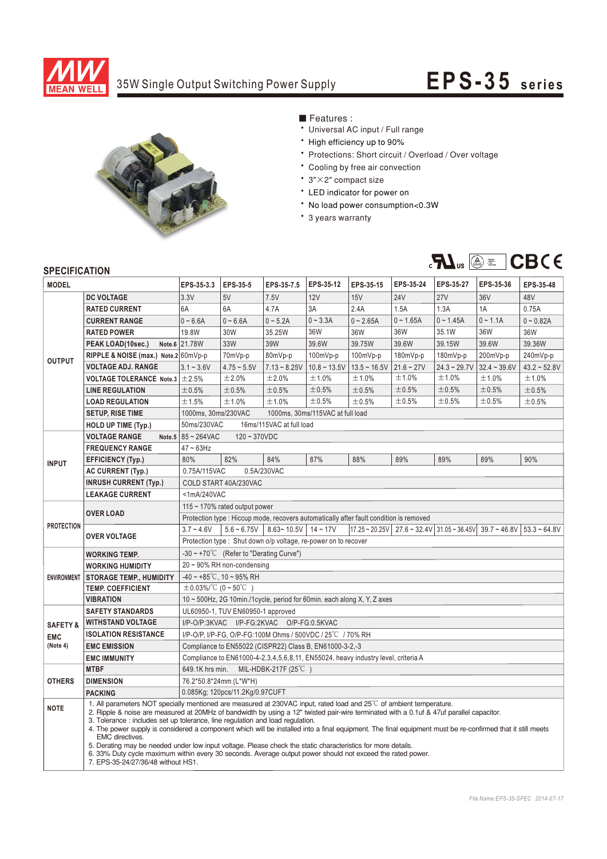

## 35W Single Output Switching Power Supply **EPS-35** series



■ Features :

- Universal AC input / Full range
- \* High efficiency up to 90%
- \* Protections: Short circuit / Overload / Over voltage
- \* Cooling by free air convection
- 3"×2" compact size
- \* LED indicator for power on
- \* No load power consumption<0.3W
- \* 3 years warranty



## **SPECIFICATION**

| <b>MODEL</b>       |                                                                                                                                                                                                                                                                                                                                                                                                                                                                                                                                                                                                                                                                                                                                                                                                                    | EPS-35-3.3                                                                                                                                                      | EPS-35-5                          | EPS-35-7.5     | EPS-35-12                        | EPS-35-15      | EPS-35-24    | EPS-35-27      | EPS-35-36      | EPS-35-48            |
|--------------------|--------------------------------------------------------------------------------------------------------------------------------------------------------------------------------------------------------------------------------------------------------------------------------------------------------------------------------------------------------------------------------------------------------------------------------------------------------------------------------------------------------------------------------------------------------------------------------------------------------------------------------------------------------------------------------------------------------------------------------------------------------------------------------------------------------------------|-----------------------------------------------------------------------------------------------------------------------------------------------------------------|-----------------------------------|----------------|----------------------------------|----------------|--------------|----------------|----------------|----------------------|
|                    | <b>DC VOLTAGE</b>                                                                                                                                                                                                                                                                                                                                                                                                                                                                                                                                                                                                                                                                                                                                                                                                  | 3.3V                                                                                                                                                            | 5V                                | 7.5V           | 12V                              | 15V            | <b>24V</b>   | <b>27V</b>     | 36V            | 48V                  |
| <b>OUTPUT</b>      | <b>RATED CURRENT</b>                                                                                                                                                                                                                                                                                                                                                                                                                                                                                                                                                                                                                                                                                                                                                                                               | 6A                                                                                                                                                              | 6A                                | 4.7A           | 3A                               | 2.4A           | 1.5A         | 1.3A           | 1A             | 0.75A                |
|                    | <b>CURRENT RANGE</b>                                                                                                                                                                                                                                                                                                                                                                                                                                                                                                                                                                                                                                                                                                                                                                                               | $0 - 6.6A$                                                                                                                                                      | $0 - 6.6A$                        | $0 - 5.2A$     | $0 - 3.3A$                       | $0 - 2.65A$    | $0 - 1.65A$  | $0 - 1.45A$    | $0 - 1.1A$     | $0 - 0.82A$          |
|                    | <b>RATED POWER</b>                                                                                                                                                                                                                                                                                                                                                                                                                                                                                                                                                                                                                                                                                                                                                                                                 | 19.8W                                                                                                                                                           | 30W                               | 35.25W         | 36W                              | 36W            | 36W          | 35.1W          | 36W            | 36W                  |
|                    | PEAK LOAD(10sec.)                                                                                                                                                                                                                                                                                                                                                                                                                                                                                                                                                                                                                                                                                                                                                                                                  | Note.6 21.78W                                                                                                                                                   | 33W                               | 39W            | 39.6W                            | 39.75W         | 39.6W        | 39.15W         | 39.6W          | 39.36W               |
|                    | RIPPLE & NOISE (max.) Note.2 60mVp-p                                                                                                                                                                                                                                                                                                                                                                                                                                                                                                                                                                                                                                                                                                                                                                               |                                                                                                                                                                 | 70mVp-p                           | 80mVp-p        | 100mVp-p                         | $100mVp-p$     | 180mVp-p     | 180mVp-p       | 200mVp-p       | 240mVp-p             |
|                    | <b>VOLTAGE ADJ. RANGE</b>                                                                                                                                                                                                                                                                                                                                                                                                                                                                                                                                                                                                                                                                                                                                                                                          | $3.1 - 3.6V$                                                                                                                                                    | $4.75 - 5.5V$                     | $7.13 - 8.25V$ | $10.8 - 13.5V$                   | $13.5 - 16.5V$ | $21.6 - 27V$ | $24.3 - 29.7V$ | $32.4 - 39.6V$ | $43.2 \approx 52.8V$ |
|                    | <b>VOLTAGE TOLERANCE Note.3</b>                                                                                                                                                                                                                                                                                                                                                                                                                                                                                                                                                                                                                                                                                                                                                                                    | ±2.5%                                                                                                                                                           | ±2.0%                             | ±2.0%          | ±1.0%                            | ±1.0%          | ±1.0%        | ±1.0%          | ±1.0%          | ±1.0%                |
|                    | <b>LINE REGULATION</b>                                                                                                                                                                                                                                                                                                                                                                                                                                                                                                                                                                                                                                                                                                                                                                                             | ±0.5%                                                                                                                                                           | ±0.5%                             | $\pm 0.5\%$    | $\pm 0.5\%$                      | ±0.5%          | ±0.5%        | ±0.5%          | ±0.5%          | ±0.5%                |
|                    | <b>LOAD REGULATION</b>                                                                                                                                                                                                                                                                                                                                                                                                                                                                                                                                                                                                                                                                                                                                                                                             | ±1.5%                                                                                                                                                           | ±1.0%                             | ±1.0%          | ±0.5%                            | ±0.5%          | ±0.5%        | ±0.5%          | ±0.5%          | $\pm 0.5\%$          |
|                    | <b>SETUP, RISE TIME</b>                                                                                                                                                                                                                                                                                                                                                                                                                                                                                                                                                                                                                                                                                                                                                                                            | 1000ms, 30ms/230VAC                                                                                                                                             |                                   |                | 1000ms, 30ms/115VAC at full load |                |              |                |                |                      |
|                    | <b>HOLD UP TIME (Typ.)</b>                                                                                                                                                                                                                                                                                                                                                                                                                                                                                                                                                                                                                                                                                                                                                                                         | 16ms/115VAC at full load<br>50ms/230VAC                                                                                                                         |                                   |                |                                  |                |              |                |                |                      |
| <b>INPUT</b>       | <b>VOLTAGE RANGE</b><br>Note.5                                                                                                                                                                                                                                                                                                                                                                                                                                                                                                                                                                                                                                                                                                                                                                                     | 85~264VAC<br>$120 - 370VDC$                                                                                                                                     |                                   |                |                                  |                |              |                |                |                      |
|                    | <b>FREQUENCY RANGE</b>                                                                                                                                                                                                                                                                                                                                                                                                                                                                                                                                                                                                                                                                                                                                                                                             | $47 \sim 63$ Hz                                                                                                                                                 |                                   |                |                                  |                |              |                |                |                      |
|                    | <b>EFFICIENCY (Typ.)</b>                                                                                                                                                                                                                                                                                                                                                                                                                                                                                                                                                                                                                                                                                                                                                                                           | 80%                                                                                                                                                             | 82%                               | 84%            | 87%                              | 88%            | 89%          | 89%            | 89%            | 90%                  |
|                    | <b>AC CURRENT (Typ.)</b>                                                                                                                                                                                                                                                                                                                                                                                                                                                                                                                                                                                                                                                                                                                                                                                           | 0.75A/115VAC<br>0.5A/230VAC                                                                                                                                     |                                   |                |                                  |                |              |                |                |                      |
|                    | <b>INRUSH CURRENT (Typ.)</b>                                                                                                                                                                                                                                                                                                                                                                                                                                                                                                                                                                                                                                                                                                                                                                                       | COLD START 40A/230VAC                                                                                                                                           |                                   |                |                                  |                |              |                |                |                      |
|                    | <b>LEAKAGE CURRENT</b>                                                                                                                                                                                                                                                                                                                                                                                                                                                                                                                                                                                                                                                                                                                                                                                             | <1mA/240VAC                                                                                                                                                     |                                   |                |                                  |                |              |                |                |                      |
| <b>PROTECTION</b>  |                                                                                                                                                                                                                                                                                                                                                                                                                                                                                                                                                                                                                                                                                                                                                                                                                    | 115 $\sim$ 170% rated output power                                                                                                                              |                                   |                |                                  |                |              |                |                |                      |
|                    | <b>OVER LOAD</b>                                                                                                                                                                                                                                                                                                                                                                                                                                                                                                                                                                                                                                                                                                                                                                                                   | Protection type : Hiccup mode, recovers automatically after fault condition is removed                                                                          |                                   |                |                                  |                |              |                |                |                      |
|                    | <b>OVER VOLTAGE</b>                                                                                                                                                                                                                                                                                                                                                                                                                                                                                                                                                                                                                                                                                                                                                                                                | $3.7 - 4.6V$<br>$5.6 - 6.75V$<br>$8.63 - 10.5V$<br>$14 - 17V$<br>$17.25 - 20.25V$<br>$27.6 \approx 32.4 \text{V}$ 31.05 ~ 36.45V<br>$39.7 - 46.8V$ 53.3 ~ 64.8V |                                   |                |                                  |                |              |                |                |                      |
|                    |                                                                                                                                                                                                                                                                                                                                                                                                                                                                                                                                                                                                                                                                                                                                                                                                                    | Protection type: Shut down o/p voltage, re-power on to recover                                                                                                  |                                   |                |                                  |                |              |                |                |                      |
| <b>ENVIRONMENT</b> | <b>WORKING TEMP.</b>                                                                                                                                                                                                                                                                                                                                                                                                                                                                                                                                                                                                                                                                                                                                                                                               | $-30 \sim +70^{\circ}$ (Refer to "Derating Curve")                                                                                                              |                                   |                |                                  |                |              |                |                |                      |
|                    | <b>WORKING HUMIDITY</b>                                                                                                                                                                                                                                                                                                                                                                                                                                                                                                                                                                                                                                                                                                                                                                                            | $20 \sim 90\%$ RH non-condensing                                                                                                                                |                                   |                |                                  |                |              |                |                |                      |
|                    | <b>STORAGE TEMP., HUMIDITY</b>                                                                                                                                                                                                                                                                                                                                                                                                                                                                                                                                                                                                                                                                                                                                                                                     | $-40 \sim +85^{\circ}$ C, 10 ~ 95% RH                                                                                                                           |                                   |                |                                  |                |              |                |                |                      |
|                    | <b>TEMP. COEFFICIENT</b>                                                                                                                                                                                                                                                                                                                                                                                                                                                                                                                                                                                                                                                                                                                                                                                           | $\pm$ 0.03%/°C (0 ~ 50°C )                                                                                                                                      |                                   |                |                                  |                |              |                |                |                      |
|                    | <b>VIBRATION</b>                                                                                                                                                                                                                                                                                                                                                                                                                                                                                                                                                                                                                                                                                                                                                                                                   | 10 ~ 500Hz, 2G 10min./1cycle, period for 60min. each along X, Y, Z axes                                                                                         |                                   |                |                                  |                |              |                |                |                      |
|                    | <b>SAFETY STANDARDS</b>                                                                                                                                                                                                                                                                                                                                                                                                                                                                                                                                                                                                                                                                                                                                                                                            |                                                                                                                                                                 | UL60950-1, TUV EN60950-1 approved |                |                                  |                |              |                |                |                      |
| <b>SAFETY&amp;</b> | <b>WITHSTAND VOLTAGE</b>                                                                                                                                                                                                                                                                                                                                                                                                                                                                                                                                                                                                                                                                                                                                                                                           | I/P-O/P:3KVAC I/P-FG:2KVAC O/P-FG:0.5KVAC                                                                                                                       |                                   |                |                                  |                |              |                |                |                      |
| <b>EMC</b>         | <b>ISOLATION RESISTANCE</b>                                                                                                                                                                                                                                                                                                                                                                                                                                                                                                                                                                                                                                                                                                                                                                                        | I/P-O/P, I/P-FG, O/P-FG:100M Ohms / 500VDC / 25°C / 70% RH<br>Compliance to EN55022 (CISPR22) Class B, EN61000-3-2,-3                                           |                                   |                |                                  |                |              |                |                |                      |
| (Note 4)           | <b>EMC EMISSION</b>                                                                                                                                                                                                                                                                                                                                                                                                                                                                                                                                                                                                                                                                                                                                                                                                |                                                                                                                                                                 |                                   |                |                                  |                |              |                |                |                      |
|                    | <b>EMC IMMUNITY</b>                                                                                                                                                                                                                                                                                                                                                                                                                                                                                                                                                                                                                                                                                                                                                                                                | Compliance to EN61000-4-2,3,4,5,6,8,11, EN55024, heavy industry level, criteria A                                                                               |                                   |                |                                  |                |              |                |                |                      |
| <b>OTHERS</b>      | <b>MTBF</b>                                                                                                                                                                                                                                                                                                                                                                                                                                                                                                                                                                                                                                                                                                                                                                                                        | 649.1K hrs min.<br>MIL-HDBK-217F $(25^{\circ}C)$                                                                                                                |                                   |                |                                  |                |              |                |                |                      |
|                    | <b>DIMENSION</b>                                                                                                                                                                                                                                                                                                                                                                                                                                                                                                                                                                                                                                                                                                                                                                                                   | 76.2*50.8*24mm (L*W*H)                                                                                                                                          |                                   |                |                                  |                |              |                |                |                      |
|                    | <b>PACKING</b>                                                                                                                                                                                                                                                                                                                                                                                                                                                                                                                                                                                                                                                                                                                                                                                                     |                                                                                                                                                                 | 0.085Kg; 120pcs/11.2Kg/0.97CUFT   |                |                                  |                |              |                |                |                      |
| <b>NOTE</b>        | 1. All parameters NOT specially mentioned are measured at 230VAC input, rated load and 25 <sup>°C</sup> of ambient temperature.<br>2. Ripple & noise are measured at 20MHz of bandwidth by using a 12" twisted pair-wire terminated with a 0.1uf & 47uf parallel capacitor.<br>3. Tolerance : includes set up tolerance, line regulation and load regulation.<br>4. The power supply is considered a component which will be installed into a final equipment. The final equipment must be re-confirmed that it still meets<br>EMC directives.<br>5. Derating may be needed under low input voltage. Please check the static characteristics for more details.<br>6. 33% Duty cycle maximum within every 30 seconds. Average output power should not exceed the rated power.<br>7. EPS-35-24/27/36/48 without HS1. |                                                                                                                                                                 |                                   |                |                                  |                |              |                |                |                      |